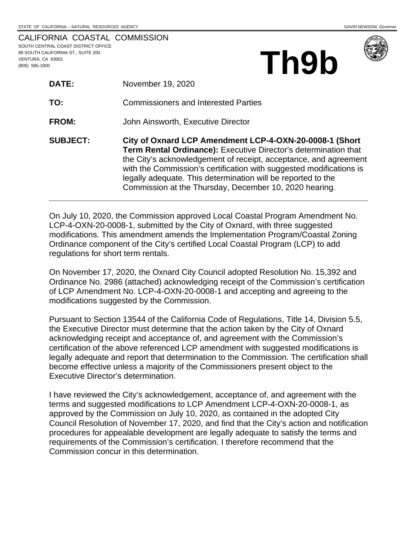**Th9b**

|                                     | CALIFORNIA COASTAL COMMISSION |
|-------------------------------------|-------------------------------|
| SOUTH CENTRAL COAST DISTRICT OFFICE |                               |
| 89 SOUTH CALIFORNIA ST., SUITE 200  |                               |
| VENTURA. CA 93001                   |                               |
| (805) 585-1800                      |                               |

| <b>DATE:</b>    | November 19, 2020                                                                                                                                                                                                                                                                                                                                                                               |
|-----------------|-------------------------------------------------------------------------------------------------------------------------------------------------------------------------------------------------------------------------------------------------------------------------------------------------------------------------------------------------------------------------------------------------|
| TO:             | <b>Commissioners and Interested Parties</b>                                                                                                                                                                                                                                                                                                                                                     |
| <b>FROM:</b>    | John Ainsworth, Executive Director                                                                                                                                                                                                                                                                                                                                                              |
| <b>SUBJECT:</b> | City of Oxnard LCP Amendment LCP-4-OXN-20-0008-1 (Short<br>Term Rental Ordinance): Executive Director's determination that<br>the City's acknowledgement of receipt, acceptance, and agreement<br>with the Commission's certification with suggested modifications is<br>legally adequate. This determination will be reported to the<br>Commission at the Thursday, December 10, 2020 hearing. |

On July 10, 2020, the Commission approved Local Coastal Program Amendment No. LCP-4-OXN-20-0008-1, submitted by the City of Oxnard, with three suggested modifications. This amendment amends the Implementation Program/Coastal Zoning Ordinance component of the City's certified Local Coastal Program (LCP) to add regulations for short term rentals.

On November 17, 2020, the Oxnard City Council adopted Resolution No. 15,392 and Ordinance No. 2986 (attached) acknowledging receipt of the Commission's certification of LCP Amendment No. LCP-4-OXN-20-0008-1 and accepting and agreeing to the modifications suggested by the Commission.

Pursuant to Section 13544 of the California Code of Regulations, Title 14, Division 5.5, the Executive Director must determine that the action taken by the City of Oxnard acknowledging receipt and acceptance of, and agreement with the Commission's certification of the above referenced LCP amendment with suggested modifications is legally adequate and report that determination to the Commission. The certification shall become effective unless a majority of the Commissioners present object to the Executive Director's determination.

I have reviewed the City's acknowledgement, acceptance of, and agreement with the terms and suggested modifications to LCP Amendment LCP-4-OXN-20-0008-1, as approved by the Commission on July 10, 2020, as contained in the adopted City Council Resolution of November 17, 2020, and find that the City's action and notification procedures for appealable development are legally adequate to satisfy the terms and requirements of the Commission's certification. I therefore recommend that the Commission concur in this determination.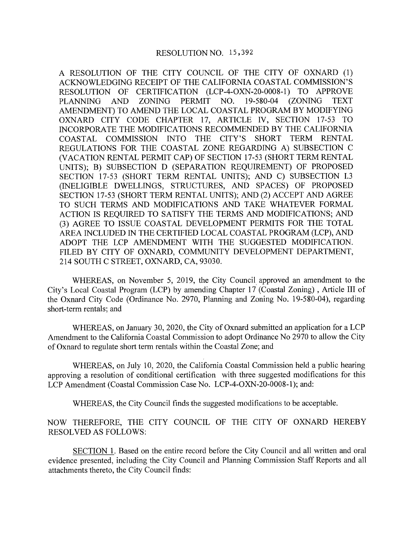A RESOLUTION OF THE CITY COUNCIL OF THE CITY OF OXNARD (1) ACKNOWLEDGING RECEIPT OF THE CALIFORNIA COASTAL COMMISSION'S RESOLUTION OF CERTIFICATION (LCP-4-OXN-20-0008-1) TO APPROVE NO. 19-580-04 (ZONING **PLANNING** AND ZONING PERMIT **TEXT** AMENDMENT) TO AMEND THE LOCAL COASTAL PROGRAM BY MODIFYING OXNARD CITY CODE CHAPTER 17, ARTICLE IV, SECTION 17-53 TO INCORPORATE THE MODIFICATIONS RECOMMENDED BY THE CALIFORNIA COASTAL COMMISSION INTO THE CITY'S SHORT TERM RENTAL REGULATIONS FOR THE COASTAL ZONE REGARDING A) SUBSECTION C (VACATION RENTAL PERMIT CAP) OF SECTION 17-53 (SHORT TERM RENTAL UNITS); B) SUBSECTION D (SEPARATION REQUIREMENT) OF PROPOSED SECTION 17-53 (SHORT TERM RENTAL UNITS); AND C) SUBSECTION I.3 (INELIGIBLE DWELLINGS, STRUCTURES, AND SPACES) OF PROPOSED SECTION 17-53 (SHORT TERM RENTAL UNITS); AND (2) ACCEPT AND AGREE TO SUCH TERMS AND MODIFICATIONS AND TAKE WHATEVER FORMAL ACTION IS REQUIRED TO SATISFY THE TERMS AND MODIFICATIONS; AND (3) AGREE TO ISSUE COASTAL DEVELOPMENT PERMITS FOR THE TOTAL AREA INCLUDED IN THE CERTIFIED LOCAL COASTAL PROGRAM (LCP), AND ADOPT THE LCP AMENDMENT WITH THE SUGGESTED MODIFICATION. FILED BY CITY OF OXNARD, COMMUNITY DEVELOPMENT DEPARTMENT, 214 SOUTH C STREET, OXNARD, CA, 93030.

WHEREAS, on November 5, 2019, the City Council approved an amendment to the City's Local Coastal Program (LCP) by amending Chapter 17 (Coastal Zoning), Article III of the Oxnard City Code (Ordinance No. 2970, Planning and Zoning No. 19-580-04), regarding short-term rentals; and

WHEREAS, on January 30, 2020, the City of Oxnard submitted an application for a LCP Amendment to the California Coastal Commission to adopt Ordinance No 2970 to allow the City of Oxnard to regulate short term rentals within the Coastal Zone; and

WHEREAS, on July 10, 2020, the California Coastal Commission held a public hearing approving a resolution of conditional certification with three suggested modifications for this LCP Amendment (Coastal Commission Case No. LCP-4-OXN-20-0008-1); and:

WHEREAS, the City Council finds the suggested modifications to be acceptable.

NOW THEREFORE, THE CITY COUNCIL OF THE CITY OF OXNARD HEREBY **RESOLVED AS FOLLOWS:** 

SECTION 1. Based on the entire record before the City Council and all written and oral evidence presented, including the City Council and Planning Commission Staff Reports and all attachments thereto, the City Council finds: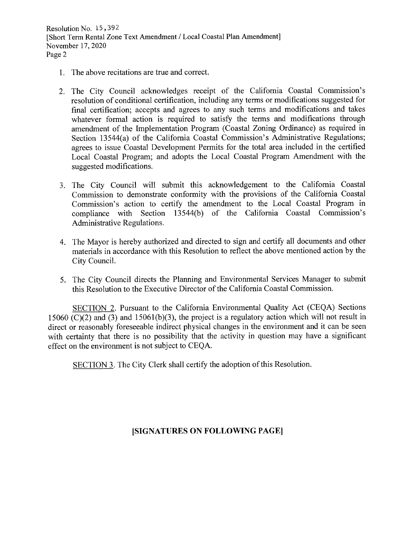Resolution No. 15,392 [Short Term Rental Zone Text Amendment / Local Coastal Plan Amendment] November 17, 2020 Page 2

- 1. The above recitations are true and correct.
- 2. The City Council acknowledges receipt of the California Coastal Commission's resolution of conditional certification, including any terms or modifications suggested for final certification; accepts and agrees to any such terms and modifications and takes whatever formal action is required to satisfy the terms and modifications through amendment of the Implementation Program (Coastal Zoning Ordinance) as required in Section 13544(a) of the California Coastal Commission's Administrative Regulations; agrees to issue Coastal Development Permits for the total area included in the certified Local Coastal Program; and adopts the Local Coastal Program Amendment with the suggested modifications.
- 3. The City Council will submit this acknowledgement to the California Coastal Commission to demonstrate conformity with the provisions of the California Coastal Commission's action to certify the amendment to the Local Coastal Program in compliance with Section 13544(b) of the California Coastal Commission's Administrative Regulations.
- 4. The Mayor is hereby authorized and directed to sign and certify all documents and other materials in accordance with this Resolution to reflect the above mentioned action by the City Council.
- 5. The City Council directs the Planning and Environmental Services Manager to submit this Resolution to the Executive Director of the California Coastal Commission.

SECTION 2. Pursuant to the California Environmental Quality Act (CEQA) Sections 15060 (C)(2) and (3) and 15061(b)(3), the project is a regulatory action which will not result in direct or reasonably foreseeable indirect physical changes in the environment and it can be seen with certainty that there is no possibility that the activity in question may have a significant effect on the environment is not subject to CEQA.

SECTION 3. The City Clerk shall certify the adoption of this Resolution.

## [SIGNATURES ON FOLLOWING PAGE]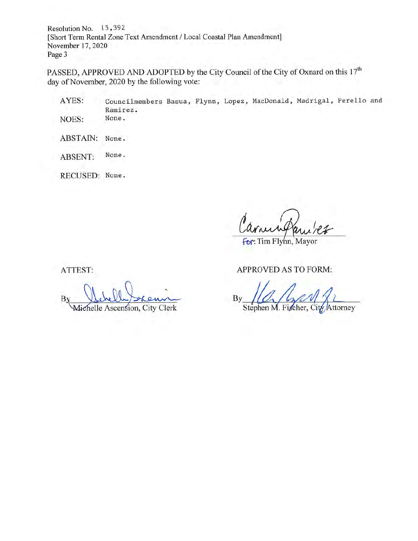Resolution No. 15,392 [Short Term Rental Zone Text Amendment / Local Coastal Plan Amendment] November 17, 2020 Page 3

PASSED, APPROVED AND ADOPTED by the City Council of the City of Oxnard on this 17<sup>th</sup> day of November, 2020 by the following vote:

Councilmembers Basua, Flynn, Lopez, MacDonald, Madrigal, Perello and AYES: Ramirez. None. NOES:

ABSTAIN: None.

None. ABSENT:

RECUSED: None.

for: Tim Flynn, Mayor

ATTEST:

 $B$ Michelle Ascension, City Clerk

**APPROVED AS TO FORM:** 

By Stephen M. Fischer, City Attorney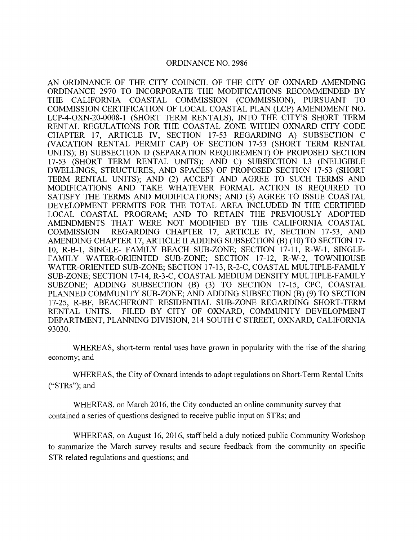#### **ORDINANCE NO. 2986**

AN ORDINANCE OF THE CITY COUNCIL OF THE CITY OF OXNARD AMENDING ORDINANCE 2970 TO INCORPORATE THE MODIFICATIONS RECOMMENDED BY THE CALIFORNIA COASTAL COMMISSION (COMMISSION), PURSUANT **TO** COMMISSION CERTIFICATION OF LOCAL COASTAL PLAN (LCP) AMENDMENT NO. LCP-4-OXN-20-0008-1 (SHORT TERM RENTALS), INTO THE CITY'S SHORT TERM RENTAL REGULATIONS FOR THE COASTAL ZONE WITHIN OXNARD CITY CODE CHAPTER 17, ARTICLE IV, SECTION 17-53 REGARDING A) SUBSECTION C (VACATION RENTAL PERMIT CAP) OF SECTION 17-53 (SHORT TERM RENTAL UNITS); B) SUBSECTION D (SEPARATION REQUIREMENT) OF PROPOSED SECTION 17-53 (SHORT TERM RENTAL UNITS); AND C) SUBSECTION I.3 (INELIGIBLE DWELLINGS, STRUCTURES, AND SPACES) OF PROPOSED SECTION 17-53 (SHORT TERM RENTAL UNITS); AND (2) ACCEPT AND AGREE TO SUCH TERMS AND MODIFICATIONS AND TAKE WHATEVER FORMAL ACTION IS REQUIRED TO SATISFY THE TERMS AND MODIFICATIONS; AND (3) AGREE TO ISSUE COASTAL DEVELOPMENT PERMITS FOR THE TOTAL AREA INCLUDED IN THE CERTIFIED LOCAL COASTAL PROGRAM; AND TO RETAIN THE PREVIOUSLY ADOPTED AMENDMENTS THAT WERE NOT MODIFIED BY THE CALIFORNIA COASTAL REGARDING CHAPTER 17, ARTICLE IV, SECTION 17-53, AND **COMMISSION** AMENDING CHAPTER 17, ARTICLE II ADDING SUBSECTION (B) (10) TO SECTION 17-10, R-B-1, SINGLE- FAMILY BEACH SUB-ZONE; SECTION 17-11, R-W-1, SINGLE-FAMILY WATER-ORIENTED SUB-ZONE; SECTION 17-12, R-W-2, TOWNHOUSE WATER-ORIENTED SUB-ZONE; SECTION 17-13, R-2-C, COASTAL MULTIPLE-FAMILY SUB-ZONE: SECTION 17-14, R-3-C, COASTAL MEDIUM DENSITY MULTIPLE-FAMILY SUBZONE; ADDING SUBSECTION (B) (3) TO SECTION 17-15, CPC, COASTAL PLANNED COMMUNITY SUB-ZONE; AND ADDING SUBSECTION (B) (9) TO SECTION 17-25, R-BF, BEACHFRONT RESIDENTIAL SUB-ZONE REGARDING SHORT-TERM FILED BY CITY OF OXNARD, COMMUNITY DEVELOPMENT RENTAL UNITS. DEPARTMENT, PLANNING DIVISION, 214 SOUTH C STREET, OXNARD, CALIFORNIA 93030.

WHEREAS, short-term rental uses have grown in popularity with the rise of the sharing economy; and

WHEREAS, the City of Oxnard intends to adopt regulations on Short-Term Rental Units ("STRs"); and

WHEREAS, on March 2016, the City conducted an online community survey that contained a series of questions designed to receive public input on STRs; and

WHEREAS, on August 16, 2016, staff held a duly noticed public Community Workshop to summarize the March survey results and secure feedback from the community on specific STR related regulations and questions; and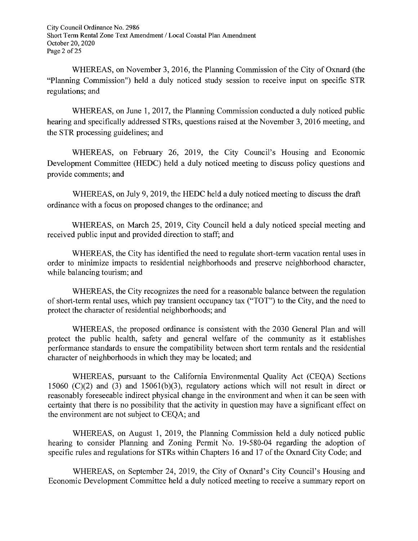City Council Ordinance No. 2986 Short Term Rental Zone Text Amendment / Local Coastal Plan Amendment October 20, 2020 Page 2 of 25

WHEREAS, on November 3, 2016, the Planning Commission of the City of Oxnard (the "Planning Commission") held a duly noticed study session to receive input on specific STR regulations; and

WHEREAS, on June 1, 2017, the Planning Commission conducted a duly noticed public hearing and specifically addressed STRs, questions raised at the November 3, 2016 meeting, and the STR processing guidelines; and

WHEREAS, on February 26, 2019, the City Council's Housing and Economic Development Committee (HEDC) held a duly noticed meeting to discuss policy questions and provide comments; and

WHEREAS, on July 9, 2019, the HEDC held a duly noticed meeting to discuss the draft ordinance with a focus on proposed changes to the ordinance; and

WHEREAS, on March 25, 2019, City Council held a duly noticed special meeting and received public input and provided direction to staff; and

WHEREAS, the City has identified the need to regulate short-term vacation rental uses in order to minimize impacts to residential neighborhoods and preserve neighborhood character, while balancing tourism; and

WHEREAS, the City recognizes the need for a reasonable balance between the regulation of short-term rental uses, which pay transient occupancy tax ("TOT") to the City, and the need to protect the character of residential neighborhoods; and

WHEREAS, the proposed ordinance is consistent with the 2030 General Plan and will protect the public health, safety and general welfare of the community as it establishes performance standards to ensure the compatibility between short term rentals and the residential character of neighborhoods in which they may be located; and

WHEREAS, pursuant to the California Environmental Ouality Act (CEOA) Sections 15060 (C)(2) and (3) and 15061(b)(3), regulatory actions which will not result in direct or reasonably foreseeable indirect physical change in the environment and when it can be seen with certainty that there is no possibility that the activity in question may have a significant effect on the environment are not subject to CEQA; and

WHEREAS, on August 1, 2019, the Planning Commission held a duly noticed public hearing to consider Planning and Zoning Permit No. 19-580-04 regarding the adoption of specific rules and regulations for STRs within Chapters 16 and 17 of the Oxnard City Code; and

WHEREAS, on September 24, 2019, the City of Oxnard's City Council's Housing and Economic Development Committee held a duly noticed meeting to receive a summary report on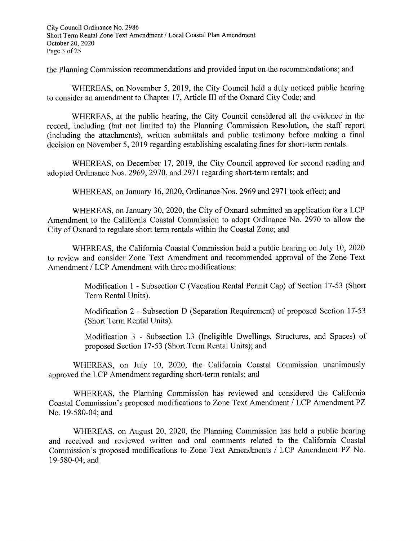City Council Ordinance No. 2986 Short Term Rental Zone Text Amendment / Local Coastal Plan Amendment October 20, 2020 Page 3 of 25

the Planning Commission recommendations and provided input on the recommendations; and

WHEREAS, on November 5, 2019, the City Council held a duly noticed public hearing to consider an amendment to Chapter 17, Article III of the Oxnard City Code; and

WHEREAS, at the public hearing, the City Council considered all the evidence in the record, including (but not limited to) the Planning Commission Resolution, the staff report (including the attachments), written submittals and public testimony before making a final decision on November 5, 2019 regarding establishing escalating fines for short-term rentals.

WHEREAS, on December 17, 2019, the City Council approved for second reading and adopted Ordinance Nos. 2969, 2970, and 2971 regarding short-term rentals; and

WHEREAS, on January 16, 2020, Ordinance Nos. 2969 and 2971 took effect; and

WHEREAS, on January 30, 2020, the City of Oxnard submitted an application for a LCP Amendment to the California Coastal Commission to adopt Ordinance No. 2970 to allow the City of Oxnard to regulate short term rentals within the Coastal Zone; and

WHEREAS, the California Coastal Commission held a public hearing on July 10, 2020 to review and consider Zone Text Amendment and recommended approval of the Zone Text Amendment / LCP Amendment with three modifications:

> Modification 1 - Subsection C (Vacation Rental Permit Cap) of Section 17-53 (Short Term Rental Units).

> Modification 2 - Subsection D (Separation Requirement) of proposed Section 17-53 (Short Term Rental Units).

> Modification 3 - Subsection I.3 (Ineligible Dwellings, Structures, and Spaces) of proposed Section 17-53 (Short Term Rental Units); and

WHEREAS, on July 10, 2020, the California Coastal Commission unanimously approved the LCP Amendment regarding short-term rentals; and

WHEREAS, the Planning Commission has reviewed and considered the California Coastal Commission's proposed modifications to Zone Text Amendment / LCP Amendment PZ No. 19-580-04; and

WHEREAS, on August 20, 2020, the Planning Commission has held a public hearing and received and reviewed written and oral comments related to the California Coastal Commission's proposed modifications to Zone Text Amendments / LCP Amendment PZ No. 19-580-04; and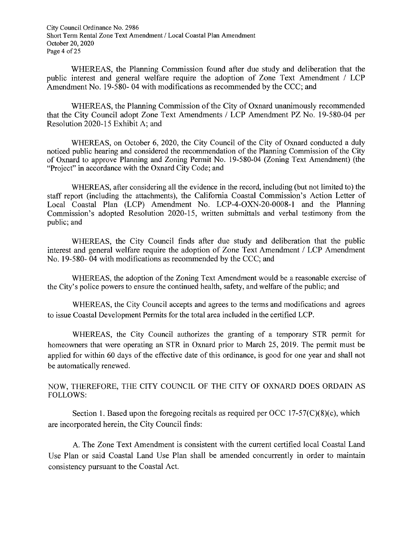City Council Ordinance No. 2986 Short Term Rental Zone Text Amendment / Local Coastal Plan Amendment October 20, 2020 Page 4 of 25

WHEREAS, the Planning Commission found after due study and deliberation that the public interest and general welfare require the adoption of Zone Text Amendment / LCP Amendment No. 19-580-04 with modifications as recommended by the CCC; and

WHEREAS, the Planning Commission of the City of Oxnard unanimously recommended that the City Council adopt Zone Text Amendments / LCP Amendment PZ No. 19-580-04 per Resolution 2020-15 Exhibit A; and

WHEREAS, on October 6, 2020, the City Council of the City of Oxnard conducted a duly noticed public hearing and considered the recommendation of the Planning Commission of the City of Oxnard to approve Planning and Zoning Permit No. 19-580-04 (Zoning Text Amendment) (the "Project" in accordance with the Oxnard City Code; and

WHEREAS, after considering all the evidence in the record, including (but not limited to) the staff report (including the attachments), the California Coastal Commission's Action Letter of Local Coastal Plan (LCP) Amendment No. LCP-4-OXN-20-0008-1 and the Planning Commission's adopted Resolution 2020-15, written submittals and verbal testimony from the public; and

WHEREAS, the City Council finds after due study and deliberation that the public interest and general welfare require the adoption of Zone Text Amendment / LCP Amendment No. 19-580-04 with modifications as recommended by the CCC; and

WHEREAS, the adoption of the Zoning Text Amendment would be a reasonable exercise of the City's police powers to ensure the continued health, safety, and welfare of the public; and

WHEREAS, the City Council accepts and agrees to the terms and modifications and agrees to issue Coastal Development Permits for the total area included in the certified LCP.

WHEREAS, the City Council authorizes the granting of a temporary STR permit for homeowners that were operating an STR in Oxnard prior to March 25, 2019. The permit must be applied for within 60 days of the effective date of this ordinance, is good for one year and shall not be automatically renewed.

NOW, THEREFORE, THE CITY COUNCIL OF THE CITY OF OXNARD DOES ORDAIN AS **FOLLOWS:** 

Section 1. Based upon the foregoing recitals as required per OCC 17-57( $C(8)(c)$ , which are incorporated herein, the City Council finds:

A. The Zone Text Amendment is consistent with the current certified local Coastal Land Use Plan or said Coastal Land Use Plan shall be amended concurrently in order to maintain consistency pursuant to the Coastal Act.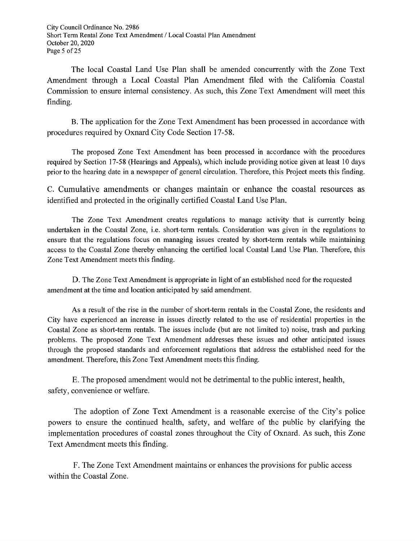City Council Ordinance No. 2986 Short Term Rental Zone Text Amendment / Local Coastal Plan Amendment October 20, 2020 Page 5 of 25

The local Coastal Land Use Plan shall be amended concurrently with the Zone Text Amendment through a Local Coastal Plan Amendment filed with the California Coastal Commission to ensure internal consistency. As such, this Zone Text Amendment will meet this finding.

B. The application for the Zone Text Amendment has been processed in accordance with procedures required by Oxnard City Code Section 17-58.

The proposed Zone Text Amendment has been processed in accordance with the procedures required by Section 17-58 (Hearings and Appeals), which include providing notice given at least 10 days prior to the hearing date in a newspaper of general circulation. Therefore, this Project meets this finding.

C. Cumulative amendments or changes maintain or enhance the coastal resources as identified and protected in the originally certified Coastal Land Use Plan.

The Zone Text Amendment creates regulations to manage activity that is currently being undertaken in the Coastal Zone, i.e. short-term rentals. Consideration was given in the regulations to ensure that the regulations focus on managing issues created by short-term rentals while maintaining access to the Coastal Zone thereby enhancing the certified local Coastal Land Use Plan. Therefore, this Zone Text Amendment meets this finding.

D. The Zone Text Amendment is appropriate in light of an established need for the requested amendment at the time and location anticipated by said amendment.

As a result of the rise in the number of short-term rentals in the Coastal Zone, the residents and City have experienced an increase in issues directly related to the use of residential properties in the Coastal Zone as short-term rentals. The issues include (but are not limited to) noise, trash and parking problems. The proposed Zone Text Amendment addresses these issues and other anticipated issues through the proposed standards and enforcement regulations that address the established need for the amendment. Therefore, this Zone Text Amendment meets this finding.

E. The proposed amendment would not be detrimental to the public interest, health, safety, convenience or welfare.

The adoption of Zone Text Amendment is a reasonable exercise of the City's police powers to ensure the continued health, safety, and welfare of the public by clarifying the implementation procedures of coastal zones throughout the City of Oxnard. As such, this Zone Text Amendment meets this finding.

F. The Zone Text Amendment maintains or enhances the provisions for public access within the Coastal Zone.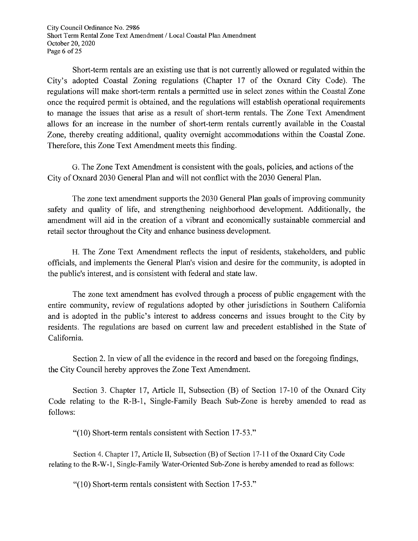City Council Ordinance No. 2986 Short Term Rental Zone Text Amendment / Local Coastal Plan Amendment October 20, 2020 Page 6 of 25

Short-term rentals are an existing use that is not currently allowed or regulated within the City's adopted Coastal Zoning regulations (Chapter 17 of the Oxnard City Code). The regulations will make short-term rentals a permitted use in select zones within the Coastal Zone once the required permit is obtained, and the regulations will establish operational requirements to manage the issues that arise as a result of short-term rentals. The Zone Text Amendment allows for an increase in the number of short-term rentals currently available in the Coastal Zone, thereby creating additional, quality overnight accommodations within the Coastal Zone. Therefore, this Zone Text Amendment meets this finding.

G. The Zone Text Amendment is consistent with the goals, policies, and actions of the City of Oxnard 2030 General Plan and will not conflict with the 2030 General Plan.

The zone text amendment supports the 2030 General Plan goals of improving community safety and quality of life, and strengthening neighborhood development. Additionally, the amendment will aid in the creation of a vibrant and economically sustainable commercial and retail sector throughout the City and enhance business development.

H. The Zone Text Amendment reflects the input of residents, stakeholders, and public officials, and implements the General Plan's vision and desire for the community, is adopted in the public's interest, and is consistent with federal and state law.

The zone text amendment has evolved through a process of public engagement with the entire community, review of regulations adopted by other jurisdictions in Southern California and is adopted in the public's interest to address concerns and issues brought to the City by residents. The regulations are based on current law and precedent established in the State of California.

Section 2. In view of all the evidence in the record and based on the foregoing findings, the City Council hereby approves the Zone Text Amendment.

Section 3. Chapter 17, Article II, Subsection (B) of Section 17-10 of the Oxnard City Code relating to the R-B-1, Single-Family Beach Sub-Zone is hereby amended to read as follows:

"(10) Short-term rentals consistent with Section 17-53."

Section 4. Chapter 17, Article II, Subsection (B) of Section 17-11 of the Oxnard City Code relating to the R-W-1, Single-Family Water-Oriented Sub-Zone is hereby amended to read as follows:

"(10) Short-term rentals consistent with Section 17-53."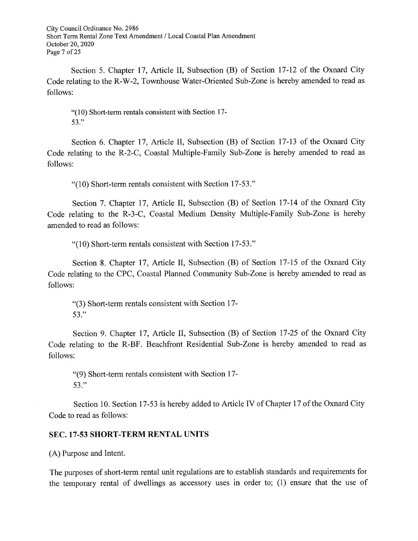City Council Ordinance No. 2986 Short Term Rental Zone Text Amendment / Local Coastal Plan Amendment October 20, 2020 Page 7 of 25

Section 5. Chapter 17, Article II, Subsection (B) of Section 17-12 of the Oxnard City Code relating to the R-W-2, Townhouse Water-Oriented Sub-Zone is hereby amended to read as follows:

"(10) Short-term rentals consistent with Section 17-53."

Section 6. Chapter 17, Article II, Subsection (B) of Section 17-13 of the Oxnard City Code relating to the R-2-C, Coastal Multiple-Family Sub-Zone is hereby amended to read as follows:

"(10) Short-term rentals consistent with Section 17-53."

Section 7. Chapter 17, Article II, Subsection (B) of Section 17-14 of the Oxnard City Code relating to the R-3-C, Coastal Medium Density Multiple-Family Sub-Zone is hereby amended to read as follows:

"(10) Short-term rentals consistent with Section 17-53."

Section 8. Chapter 17, Article II, Subsection (B) of Section 17-15 of the Oxnard City Code relating to the CPC, Coastal Planned Community Sub-Zone is hereby amended to read as follows:

"(3) Short-term rentals consistent with Section 17- $53."$ 

Section 9. Chapter 17, Article II, Subsection (B) of Section 17-25 of the Oxnard City Code relating to the R-BF. Beachfront Residential Sub-Zone is hereby amended to read as follows:

"(9) Short-term rentals consistent with Section 17- $53."$ 

Section 10. Section 17-53 is hereby added to Article IV of Chapter 17 of the Oxnard City Code to read as follows:

## **SEC. 17-53 SHORT-TERM RENTAL UNITS**

(A) Purpose and Intent.

The purposes of short-term rental unit regulations are to establish standards and requirements for the temporary rental of dwellings as accessory uses in order to; (1) ensure that the use of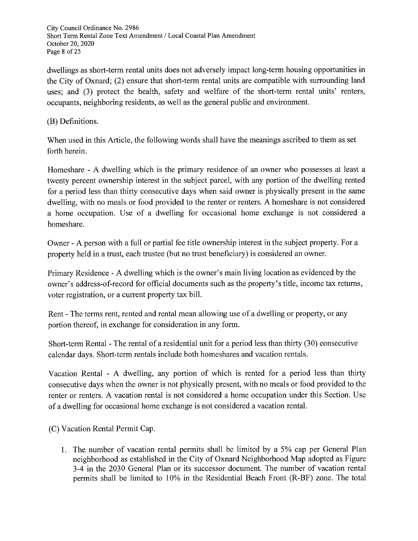City Council Ordinance No. 2986 Short Term Rental Zone Text Amendment / Local Coastal Plan Amendment October 20, 2020 Page 8 of 25

dwellings as short-term rental units does not adversely impact long-term housing opportunities in the City of Oxnard; (2) ensure that short-term rental units are compatible with surrounding land uses: and (3) protect the health, safety and welfare of the short-term rental units' renters, occupants, neighboring residents, as well as the general public and environment.

## (B) Definitions.

When used in this Article, the following words shall have the meanings ascribed to them as set forth herein.

Homeshare - A dwelling which is the primary residence of an owner who possesses at least a twenty percent ownership interest in the subject parcel, with any portion of the dwelling rented for a period less than thirty consecutive days when said owner is physically present in the same dwelling, with no meals or food provided to the renter or renters. A homeshare is not considered a home occupation. Use of a dwelling for occasional home exchange is not considered a homeshare.

Owner - A person with a full or partial fee title ownership interest in the subject property. For a property held in a trust, each trustee (but no trust beneficiary) is considered an owner.

Primary Residence - A dwelling which is the owner's main living location as evidenced by the owner's address-of-record for official documents such as the property's title, income tax returns, voter registration, or a current property tax bill.

Rent - The terms rent, rented and rental mean allowing use of a dwelling or property, or any portion thereof, in exchange for consideration in any form.

Short-term Rental - The rental of a residential unit for a period less than thirty (30) consecutive calendar days. Short-term rentals include both homeshares and vacation rentals.

Vacation Rental - A dwelling, any portion of which is rented for a period less than thirty consecutive days when the owner is not physically present, with no meals or food provided to the renter or renters. A vacation rental is not considered a home occupation under this Section. Use of a dwelling for occasional home exchange is not considered a vacation rental.

(C) Vacation Rental Permit Cap.

1. The number of vacation rental permits shall be limited by a 5% cap per General Plan neighborhood as established in the City of Oxnard Neighborhood Map adopted as Figure 3-4 in the 2030 General Plan or its successor document. The number of vacation rental permits shall be limited to 10% in the Residential Beach Front (R-BF) zone. The total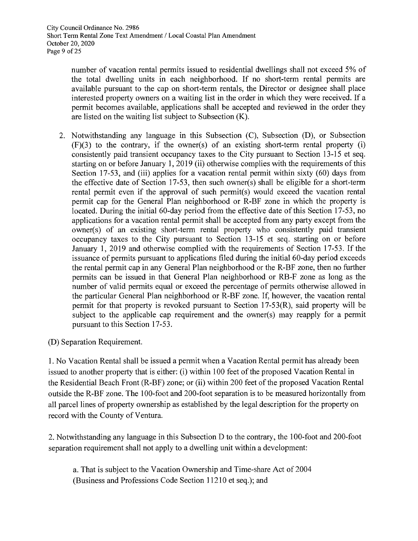number of vacation rental permits issued to residential dwellings shall not exceed 5% of the total dwelling units in each neighborhood. If no short-term rental permits are available pursuant to the cap on short-term rentals, the Director or designee shall place interested property owners on a waiting list in the order in which they were received. If a permit becomes available, applications shall be accepted and reviewed in the order they are listed on the waiting list subject to Subsection  $(K)$ .

- 2. Notwithstanding any language in this Subsection (C), Subsection (D), or Subsection  $(F)(3)$  to the contrary, if the owner(s) of an existing short-term rental property (i) consistently paid transient occupancy taxes to the City pursuant to Section 13-15 et seq. starting on or before January 1, 2019 (ii) otherwise complies with the requirements of this Section 17-53, and (iii) applies for a vacation rental permit within sixty (60) days from the effective date of Section 17-53, then such owner(s) shall be eligible for a short-term rental permit even if the approval of such permit(s) would exceed the vacation rental permit cap for the General Plan neighborhood or R-BF zone in which the property is located. During the initial 60-day period from the effective date of this Section 17-53, no applications for a vacation rental permit shall be accepted from any party except from the owner(s) of an existing short-term rental property who consistently paid transient occupancy taxes to the City pursuant to Section 13-15 et seq. starting on or before January 1, 2019 and otherwise complied with the requirements of Section 17-53. If the issuance of permits pursuant to applications filed during the initial 60-day period exceeds the rental permit cap in any General Plan neighborhood or the R-BF zone, then no further permits can be issued in that General Plan neighborhood or RB-F zone as long as the number of valid permits equal or exceed the percentage of permits otherwise allowed in the particular General Plan neighborhood or R-BF zone. If, however, the vacation rental permit for that property is revoked pursuant to Section  $17-53(R)$ , said property will be subject to the applicable cap requirement and the owner(s) may reapply for a permit pursuant to this Section 17-53.
- (D) Separation Requirement.

1. No Vacation Rental shall be issued a permit when a Vacation Rental permit has already been issued to another property that is either: (i) within 100 feet of the proposed Vacation Rental in the Residential Beach Front (R-BF) zone; or (ii) within 200 feet of the proposed Vacation Rental outside the R-BF zone. The 100-foot and 200-foot separation is to be measured horizontally from all parcel lines of property ownership as established by the legal description for the property on record with the County of Ventura.

2. Notwithstanding any language in this Subsection D to the contrary, the 100-foot and 200-foot separation requirement shall not apply to a dwelling unit within a development:

a. That is subject to the Vacation Ownership and Time-share Act of 2004 (Business and Professions Code Section 11210 et seq.); and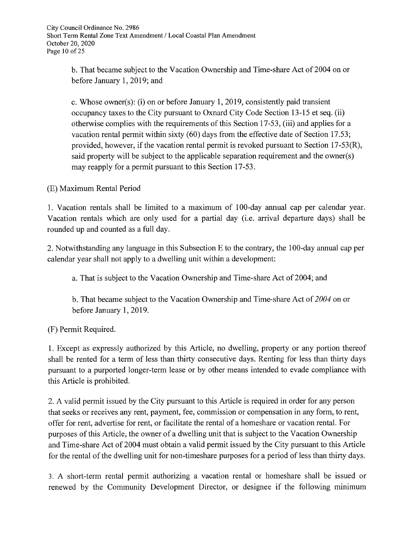b. That became subject to the Vacation Ownership and Time-share Act of 2004 on or before January 1, 2019; and

c. Whose owner(s): (i) on or before January 1, 2019, consistently paid transient occupancy taxes to the City pursuant to Oxnard City Code Section 13-15 et seq. (ii) otherwise complies with the requirements of this Section 17-53, (iii) and applies for a vacation rental permit within sixty (60) days from the effective date of Section 17.53; provided, however, if the vacation rental permit is revoked pursuant to Section 17-53(R), said property will be subject to the applicable separation requirement and the owner(s) may reapply for a permit pursuant to this Section 17-53.

(E) Maximum Rental Period

1. Vacation rentals shall be limited to a maximum of 100-day annual cap per calendar year. Vacation rentals which are only used for a partial day (i.e. arrival departure days) shall be rounded up and counted as a full day.

2. Notwithstanding any language in this Subsection E to the contrary, the 100-day annual cap per calendar year shall not apply to a dwelling unit within a development:

a. That is subject to the Vacation Ownership and Time-share Act of 2004; and

b. That became subject to the Vacation Ownership and Time-share Act of  $2004$  on or before January 1, 2019.

(F) Permit Required.

1. Except as expressly authorized by this Article, no dwelling, property or any portion thereof shall be rented for a term of less than thirty consecutive days. Renting for less than thirty days pursuant to a purported longer-term lease or by other means intended to evade compliance with this Article is prohibited.

2. A valid permit issued by the City pursuant to this Article is required in order for any person that seeks or receives any rent, payment, fee, commission or compensation in any form, to rent, offer for rent, advertise for rent, or facilitate the rental of a homeshare or vacation rental. For purposes of this Article, the owner of a dwelling unit that is subject to the Vacation Ownership and Time-share Act of 2004 must obtain a valid permit issued by the City pursuant to this Article for the rental of the dwelling unit for non-timeshare purposes for a period of less than thirty days.

3. A short-term rental permit authorizing a vacation rental or homeshare shall be issued or renewed by the Community Development Director, or designee if the following minimum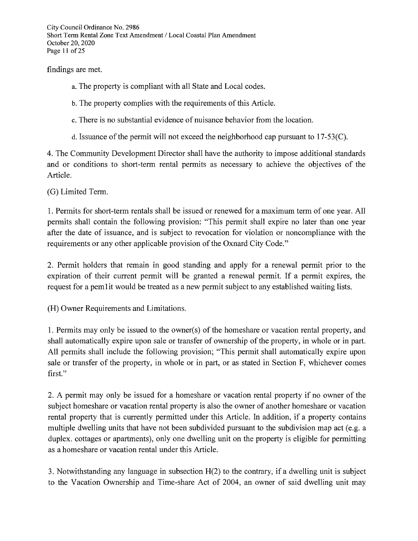City Council Ordinance No. 2986 Short Term Rental Zone Text Amendment / Local Coastal Plan Amendment October 20, 2020 Page 11 of 25

findings are met.

- a. The property is compliant with all State and Local codes.
- b. The property complies with the requirements of this Article.
- c. There is no substantial evidence of nuisance behavior from the location.
- d. Issuance of the permit will not exceed the neighborhood cap pursuant to  $17-53(C)$ .

4. The Community Development Director shall have the authority to impose additional standards and or conditions to short-term rental permits as necessary to achieve the objectives of the Article.

(G) Limited Term.

1. Permits for short-term rentals shall be issued or renewed for a maximum term of one year. All permits shall contain the following provision: "This permit shall expire no later than one year after the date of issuance, and is subject to revocation for violation or noncompliance with the requirements or any other applicable provision of the Oxnard City Code."

2. Permit holders that remain in good standing and apply for a renewal permit prior to the expiration of their current permit will be granted a renewal permit. If a permit expires, the request for a permit would be treated as a new permit subject to any established waiting lists.

(H) Owner Requirements and Limitations.

1. Permits may only be issued to the owner(s) of the homeshare or vacation rental property, and shall automatically expire upon sale or transfer of ownership of the property, in whole or in part. All permits shall include the following provision; "This permit shall automatically expire upon sale or transfer of the property, in whole or in part, or as stated in Section F, whichever comes first."

2. A permit may only be issued for a homeshare or vacation rental property if no owner of the subject homeshare or vacation rental property is also the owner of another homeshare or vacation rental property that is currently permitted under this Article. In addition, if a property contains multiple dwelling units that have not been subdivided pursuant to the subdivision map act (e.g. a duplex. cottages or apartments), only one dwelling unit on the property is eligible for permitting as a homeshare or vacation rental under this Article.

3. Notwithstanding any language in subsection  $H(2)$  to the contrary, if a dwelling unit is subject to the Vacation Ownership and Time-share Act of 2004, an owner of said dwelling unit may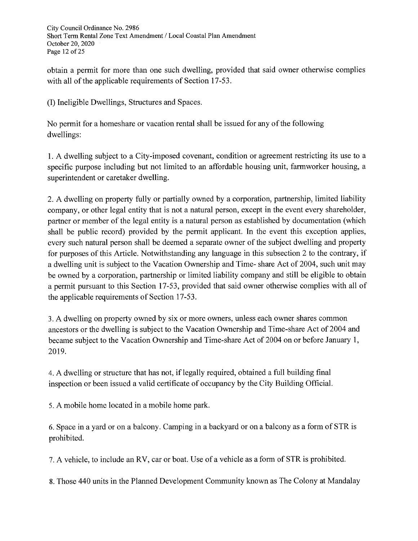City Council Ordinance No. 2986 Short Term Rental Zone Text Amendment / Local Coastal Plan Amendment October 20, 2020 Page 12 of 25

obtain a permit for more than one such dwelling, provided that said owner otherwise complies with all of the applicable requirements of Section 17-53.

(I) Ineligible Dwellings, Structures and Spaces.

No permit for a homeshare or vacation rental shall be issued for any of the following dwellings:

1. A dwelling subject to a City-imposed covenant, condition or agreement restricting its use to a specific purpose including but not limited to an affordable housing unit, farmworker housing, a superintendent or caretaker dwelling.

2. A dwelling on property fully or partially owned by a corporation, partnership, limited liability company, or other legal entity that is not a natural person, except in the event every shareholder, partner or member of the legal entity is a natural person as established by documentation (which shall be public record) provided by the permit applicant. In the event this exception applies, every such natural person shall be deemed a separate owner of the subject dwelling and property for purposes of this Article. Notwithstanding any language in this subsection 2 to the contrary, if a dwelling unit is subject to the Vacation Ownership and Time- share Act of 2004, such unit may be owned by a corporation, partnership or limited liability company and still be eligible to obtain a permit pursuant to this Section 17-53, provided that said owner otherwise complies with all of the applicable requirements of Section 17-53.

3. A dwelling on property owned by six or more owners, unless each owner shares common ancestors or the dwelling is subject to the Vacation Ownership and Time-share Act of 2004 and became subject to the Vacation Ownership and Time-share Act of 2004 on or before January 1, 2019.

4. A dwelling or structure that has not, if legally required, obtained a full building final inspection or been issued a valid certificate of occupancy by the City Building Official.

5. A mobile home located in a mobile home park.

6. Space in a yard or on a balcony. Camping in a backyard or on a balcony as a form of STR is prohibited.

7. A vehicle, to include an RV, car or boat. Use of a vehicle as a form of STR is prohibited.

8. Those 440 units in the Planned Development Community known as The Colony at Mandalay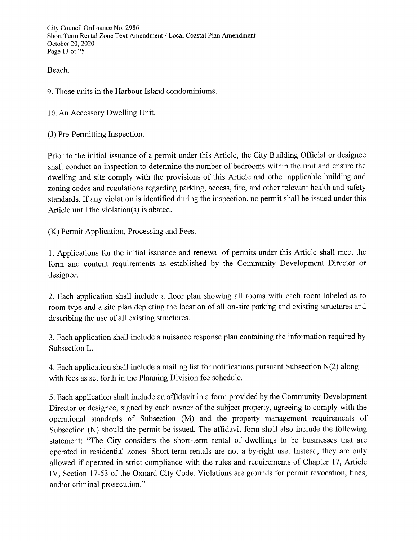City Council Ordinance No. 2986 Short Term Rental Zone Text Amendment / Local Coastal Plan Amendment October 20, 2020 Page 13 of 25

Beach.

9. Those units in the Harbour Island condominiums.

10. An Accessory Dwelling Unit.

(J) Pre-Permitting Inspection.

Prior to the initial issuance of a permit under this Article, the City Building Official or designee shall conduct an inspection to determine the number of bedrooms within the unit and ensure the dwelling and site comply with the provisions of this Article and other applicable building and zoning codes and regulations regarding parking, access, fire, and other relevant health and safety standards. If any violation is identified during the inspection, no permit shall be issued under this Article until the violation(s) is abated.

(K) Permit Application, Processing and Fees.

1. Applications for the initial issuance and renewal of permits under this Article shall meet the form and content requirements as established by the Community Development Director or designee.

2. Each application shall include a floor plan showing all rooms with each room labeled as to room type and a site plan depicting the location of all on-site parking and existing structures and describing the use of all existing structures.

3. Each application shall include a nuisance response plan containing the information required by Subsection L.

4. Each application shall include a mailing list for notifications pursuant Subsection N(2) along with fees as set forth in the Planning Division fee schedule.

5. Each application shall include an affidavit in a form provided by the Community Development Director or designee, signed by each owner of the subject property, agreeing to comply with the operational standards of Subsection (M) and the property management requirements of Subsection (N) should the permit be issued. The affidavit form shall also include the following statement: "The City considers the short-term rental of dwellings to be businesses that are operated in residential zones. Short-term rentals are not a by-right use. Instead, they are only allowed if operated in strict compliance with the rules and requirements of Chapter 17, Article IV, Section 17-53 of the Oxnard City Code. Violations are grounds for permit revocation, fines, and/or criminal prosecution."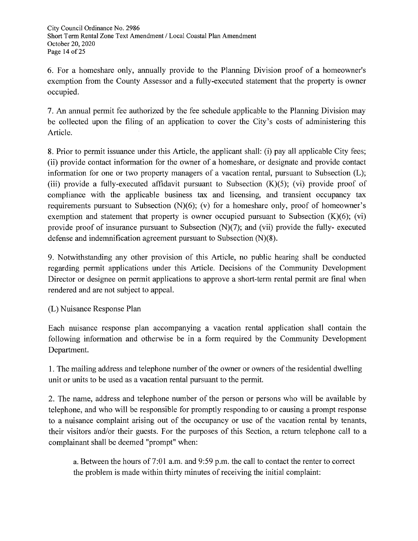6. For a homeshare only, annually provide to the Planning Division proof of a homeowner's exemption from the County Assessor and a fully-executed statement that the property is owner occupied.

7. An annual permit fee authorized by the fee schedule applicable to the Planning Division may be collected upon the filing of an application to cover the City's costs of administering this Article.

8. Prior to permit issuance under this Article, the applicant shall: (i) pay all applicable City fees; (ii) provide contact information for the owner of a homeshare, or designate and provide contact information for one or two property managers of a vacation rental, pursuant to Subsection (L); (iii) provide a fully-executed affidavit pursuant to Subsection  $(K)(5)$ ; (vi) provide proof of compliance with the applicable business tax and licensing, and transient occupancy tax requirements pursuant to Subsection  $(N)(6)$ ; (v) for a homeshare only, proof of homeowner's exemption and statement that property is owner occupied pursuant to Subsection  $(K)(6)$ ;  $(vi)$ provide proof of insurance pursuant to Subsection  $(N)(7)$ ; and  $(vii)$  provide the fully-executed defense and indemnification agreement pursuant to Subsection  $(N)(8)$ .

9. Notwithstanding any other provision of this Article, no public hearing shall be conducted regarding permit applications under this Article. Decisions of the Community Development Director or designee on permit applications to approve a short-term rental permit are final when rendered and are not subject to appeal.

(L) Nuisance Response Plan

Each nuisance response plan accompanying a vacation rental application shall contain the following information and otherwise be in a form required by the Community Development Department.

1. The mailing address and telephone number of the owner or owners of the residential dwelling unit or units to be used as a vacation rental pursuant to the permit.

2. The name, address and telephone number of the person or persons who will be available by telephone, and who will be responsible for promptly responding to or causing a prompt response to a nuisance complaint arising out of the occupancy or use of the vacation rental by tenants, their visitors and/or their guests. For the purposes of this Section, a return telephone call to a complainant shall be deemed "prompt" when:

a. Between the hours of 7:01 a.m. and 9:59 p.m. the call to contact the renter to correct the problem is made within thirty minutes of receiving the initial complaint: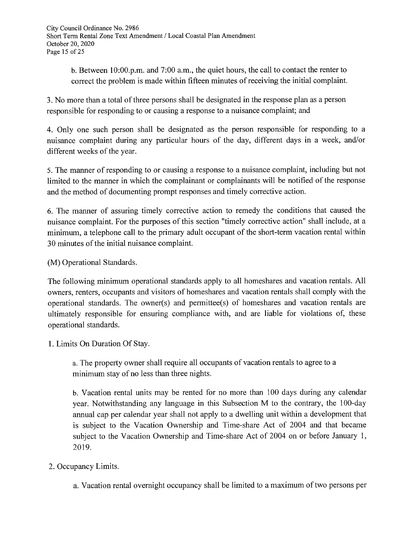b. Between 10:00.p.m. and 7:00 a.m., the quiet hours, the call to contact the renter to correct the problem is made within fifteen minutes of receiving the initial complaint.

3. No more than a total of three persons shall be designated in the response plan as a person responsible for responding to or causing a response to a nuisance complaint; and

4. Only one such person shall be designated as the person responsible for responding to a nuisance complaint during any particular hours of the day, different days in a week, and/or different weeks of the year.

5. The manner of responding to or causing a response to a nuisance complaint, including but not limited to the manner in which the complainant or complainants will be notified of the response and the method of documenting prompt responses and timely corrective action.

6. The manner of assuring timely corrective action to remedy the conditions that caused the nuisance complaint. For the purposes of this section "timely corrective action" shall include, at a minimum, a telephone call to the primary adult occupant of the short-term vacation rental within 30 minutes of the initial nuisance complaint.

(M) Operational Standards.

The following minimum operational standards apply to all homeshares and vacation rentals. All owners, renters, occupants and visitors of homeshares and vacation rentals shall comply with the operational standards. The owner(s) and permittee(s) of homeshares and vacation rentals are ultimately responsible for ensuring compliance with, and are liable for violations of, these operational standards.

1. Limits On Duration Of Stay.

a. The property owner shall require all occupants of vacation rentals to agree to a minimum stay of no less than three nights.

b. Vacation rental units may be rented for no more than 100 days during any calendar year. Notwithstanding any language in this Subsection M to the contrary, the 100-day annual cap per calendar year shall not apply to a dwelling unit within a development that is subject to the Vacation Ownership and Time-share Act of 2004 and that became subject to the Vacation Ownership and Time-share Act of 2004 on or before January 1, 2019.

# 2. Occupancy Limits.

a. Vacation rental overnight occupancy shall be limited to a maximum of two persons per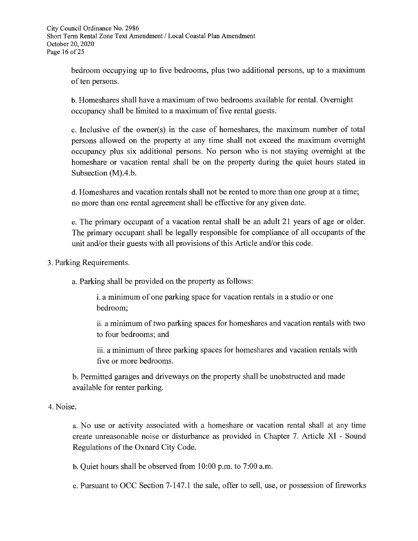bedroom occupying up to five bedrooms, plus two additional persons, up to a maximum of ten persons.

b. Homeshares shall have a maximum of two bedrooms available for rental. Overnight occupancy shall be limited to a maximum of five rental guests.

c. Inclusive of the owner(s) in the case of homeshares, the maximum number of total persons allowed on the property at any time shall not exceed the maximum overnight occupancy plus six additional persons. No person who is not staying overnight at the homeshare or vacation rental shall be on the property during the quiet hours stated in Subsection (M).4.b.

d. Homeshares and vacation rentals shall not be rented to more than one group at a time; no more than one rental agreement shall be effective for any given date.

e. The primary occupant of a vacation rental shall be an adult 21 years of age or older. The primary occupant shall be legally responsible for compliance of all occupants of the unit and/or their guests with all provisions of this Article and/or this code.

#### 3. Parking Requirements.

a. Parking shall be provided on the property as follows:

i. a minimum of one parking space for vacation rentals in a studio or one bedroom:

ii. a minimum of two parking spaces for homeshares and vacation rentals with two to four bedrooms; and

iii. a minimum of three parking spaces for homeshares and vacation rentals with five or more bedrooms.

b. Permitted garages and driveways on the property shall be unobstructed and made available for renter parking.

## 4. Noise.

a. No use or activity associated with a homeshare or vacation rental shall at any time create unreasonable noise or disturbance as provided in Chapter 7. Article XI - Sound Regulations of the Oxnard City Code.

b. Quiet hours shall be observed from  $10:00$  p.m. to  $7:00$  a.m.

c. Pursuant to OCC Section 7-147.1 the sale, offer to sell, use, or possession of fireworks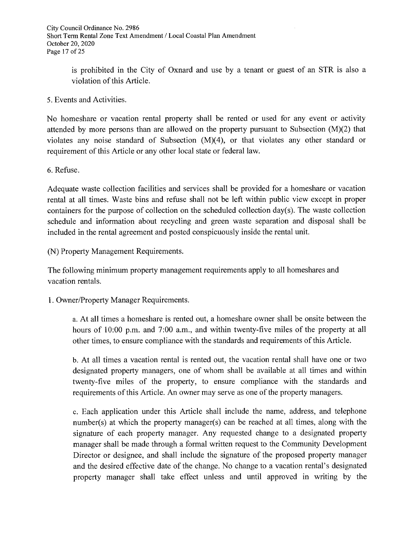is prohibited in the City of Oxnard and use by a tenant or guest of an STR is also a violation of this Article.

5. Events and Activities.

No homeshare or vacation rental property shall be rented or used for any event or activity attended by more persons than are allowed on the property pursuant to Subsection  $(M)(2)$  that violates any noise standard of Subsection  $(M)(4)$ , or that violates any other standard or requirement of this Article or any other local state or federal law.

6. Refuse.

Adequate waste collection facilities and services shall be provided for a homeshare or vacation rental at all times. Waste bins and refuse shall not be left within public view except in proper containers for the purpose of collection on the scheduled collection day(s). The waste collection schedule and information about recycling and green waste separation and disposal shall be included in the rental agreement and posted conspicuously inside the rental unit.

(N) Property Management Requirements.

The following minimum property management requirements apply to all homeshares and vacation rentals.

1. Owner/Property Manager Requirements.

a. At all times a homeshare is rented out, a homeshare owner shall be onsite between the hours of 10:00 p.m. and 7:00 a.m., and within twenty-five miles of the property at all other times, to ensure compliance with the standards and requirements of this Article.

b. At all times a vacation rental is rented out, the vacation rental shall have one or two designated property managers, one of whom shall be available at all times and within twenty-five miles of the property, to ensure compliance with the standards and requirements of this Article. An owner may serve as one of the property managers.

c. Each application under this Article shall include the name, address, and telephone number(s) at which the property manager(s) can be reached at all times, along with the signature of each property manager. Any requested change to a designated property manager shall be made through a formal written request to the Community Development Director or designee, and shall include the signature of the proposed property manager and the desired effective date of the change. No change to a vacation rental's designated property manager shall take effect unless and until approved in writing by the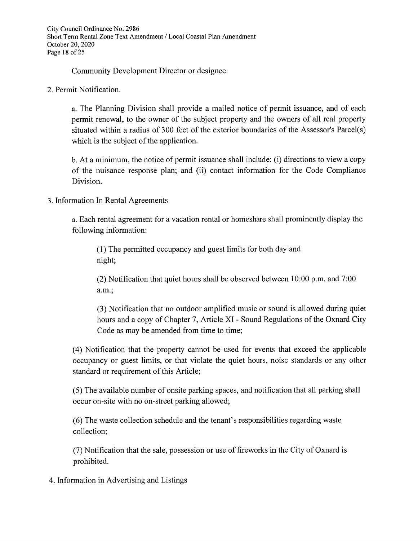City Council Ordinance No. 2986 Short Term Rental Zone Text Amendment / Local Coastal Plan Amendment October 20, 2020 Page 18 of 25

Community Development Director or designee.

2. Permit Notification.

a. The Planning Division shall provide a mailed notice of permit issuance, and of each permit renewal, to the owner of the subject property and the owners of all real property situated within a radius of 300 feet of the exterior boundaries of the Assessor's Parcel(s) which is the subject of the application.

b. At a minimum, the notice of permit issuance shall include: (i) directions to view a copy of the nuisance response plan; and (ii) contact information for the Code Compliance Division.

## 3. Information In Rental Agreements

a. Each rental agreement for a vacation rental or homeshare shall prominently display the following information:

(1) The permitted occupancy and guest limits for both day and night;

(2) Notification that quiet hours shall be observed between 10:00 p.m. and 7:00 a.m.;

(3) Notification that no outdoor amplified music or sound is allowed during quiet hours and a copy of Chapter 7, Article XI - Sound Regulations of the Oxnard City Code as may be amended from time to time;

(4) Notification that the property cannot be used for events that exceed the applicable occupancy or guest limits, or that violate the quiet hours, noise standards or any other standard or requirement of this Article;

(5) The available number of onsite parking spaces, and notification that all parking shall occur on-site with no on-street parking allowed;

(6) The waste collection schedule and the tenant's responsibilities regarding waste collection;

(7) Notification that the sale, possession or use of fireworks in the City of Oxnard is prohibited.

4. Information in Advertising and Listings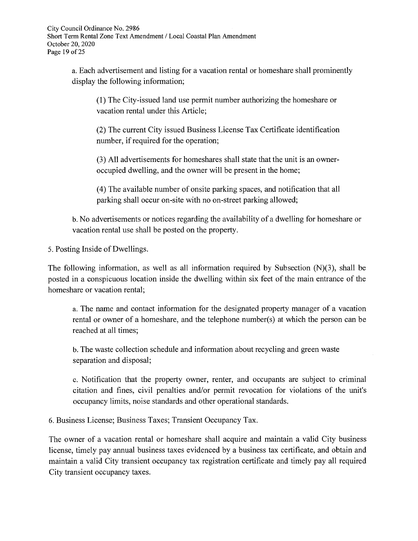a. Each advertisement and listing for a vacation rental or homeshare shall prominently display the following information;

(1) The City-issued land use permit number authorizing the homeshare or vacation rental under this Article;

(2) The current City issued Business License Tax Certificate identification number, if required for the operation;

(3) All advertisements for homeshares shall state that the unit is an owneroccupied dwelling, and the owner will be present in the home;

(4) The available number of onsite parking spaces, and notification that all parking shall occur on-site with no on-street parking allowed;

b. No advertisements or notices regarding the availability of a dwelling for homeshare or vacation rental use shall be posted on the property.

5. Posting Inside of Dwellings.

The following information, as well as all information required by Subsection  $(N)(3)$ , shall be posted in a conspicuous location inside the dwelling within six feet of the main entrance of the homeshare or vacation rental;

a. The name and contact information for the designated property manager of a vacation rental or owner of a homeshare, and the telephone number(s) at which the person can be reached at all times;

b. The waste collection schedule and information about recycling and green waste separation and disposal;

c. Notification that the property owner, renter, and occupants are subject to criminal citation and fines, civil penalties and/or permit revocation for violations of the unit's occupancy limits, noise standards and other operational standards.

6. Business License; Business Taxes; Transient Occupancy Tax.

The owner of a vacation rental or homeshare shall acquire and maintain a valid City business license, timely pay annual business taxes evidenced by a business tax certificate, and obtain and maintain a valid City transient occupancy tax registration certificate and timely pay all required City transient occupancy taxes.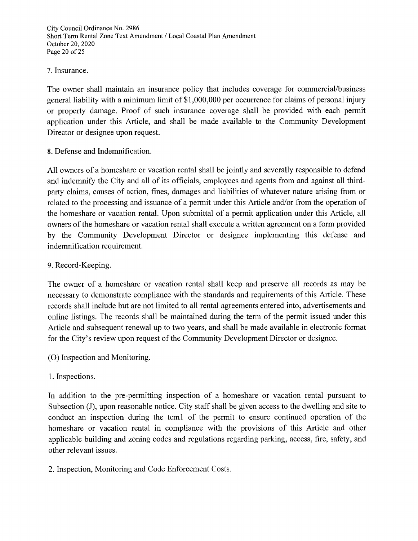City Council Ordinance No. 2986 Short Term Rental Zone Text Amendment / Local Coastal Plan Amendment October 20, 2020 Page 20 of 25

#### 7. Insurance.

The owner shall maintain an insurance policy that includes coverage for commercial/business general liability with a minimum limit of \$1,000,000 per occurrence for claims of personal injury or property damage. Proof of such insurance coverage shall be provided with each permit application under this Article, and shall be made available to the Community Development Director or designee upon request.

8. Defense and Indemnification.

All owners of a homeshare or vacation rental shall be jointly and severally responsible to defend and indemnify the City and all of its officials, employees and agents from and against all thirdparty claims, causes of action, fines, damages and liabilities of whatever nature arising from or related to the processing and issuance of a permit under this Article and/or from the operation of the homeshare or vacation rental. Upon submittal of a permit application under this Article, all owners of the homeshare or vacation rental shall execute a written agreement on a form provided by the Community Development Director or designee implementing this defense and indemnification requirement.

## 9. Record-Keeping.

The owner of a homeshare or vacation rental shall keep and preserve all records as may be necessary to demonstrate compliance with the standards and requirements of this Article. These records shall include but are not limited to all rental agreements entered into, advertisements and online listings. The records shall be maintained during the term of the permit issued under this Article and subsequent renewal up to two years, and shall be made available in electronic format for the City's review upon request of the Community Development Director or designee.

- (O) Inspection and Monitoring.
- 1. Inspections.

In addition to the pre-permitting inspection of a homeshare or vacation rental pursuant to Subsection (J), upon reasonable notice. City staff shall be given access to the dwelling and site to conduct an inspection during the tem1 of the permit to ensure continued operation of the homeshare or vacation rental in compliance with the provisions of this Article and other applicable building and zoning codes and regulations regarding parking, access, fire, safety, and other relevant issues.

2. Inspection, Monitoring and Code Enforcement Costs.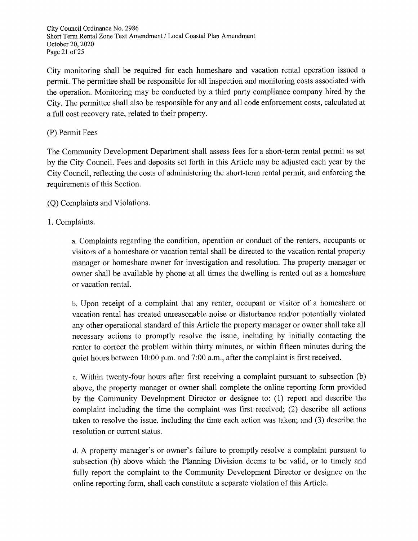City Council Ordinance No. 2986 Short Term Rental Zone Text Amendment / Local Coastal Plan Amendment October 20, 2020 Page 21 of 25

City monitoring shall be required for each homeshare and vacation rental operation issued a permit. The permittee shall be responsible for all inspection and monitoring costs associated with the operation. Monitoring may be conducted by a third party compliance company hired by the City. The permittee shall also be responsible for any and all code enforcement costs, calculated at a full cost recovery rate, related to their property.

# (P) Permit Fees

The Community Development Department shall assess fees for a short-term rental permit as set by the City Council. Fees and deposits set forth in this Article may be adjusted each year by the City Council, reflecting the costs of administering the short-term rental permit, and enforcing the requirements of this Section.

(Q) Complaints and Violations.

# 1. Complaints.

a. Complaints regarding the condition, operation or conduct of the renters, occupants or visitors of a homeshare or vacation rental shall be directed to the vacation rental property manager or homeshare owner for investigation and resolution. The property manager or owner shall be available by phone at all times the dwelling is rented out as a homeshare or vacation rental.

b. Upon receipt of a complaint that any renter, occupant or visitor of a homeshare or vacation rental has created unreasonable noise or disturbance and/or potentially violated any other operational standard of this Article the property manager or owner shall take all necessary actions to promptly resolve the issue, including by initially contacting the renter to correct the problem within thirty minutes, or within fifteen minutes during the quiet hours between 10:00 p.m. and 7:00 a.m., after the complaint is first received.

c. Within twenty-four hours after first receiving a complaint pursuant to subsection (b) above, the property manager or owner shall complete the online reporting form provided by the Community Development Director or designee to: (1) report and describe the complaint including the time the complaint was first received; (2) describe all actions taken to resolve the issue, including the time each action was taken; and (3) describe the resolution or current status.

d. A property manager's or owner's failure to promptly resolve a complaint pursuant to subsection (b) above which the Planning Division deems to be valid, or to timely and fully report the complaint to the Community Development Director or designee on the online reporting form, shall each constitute a separate violation of this Article.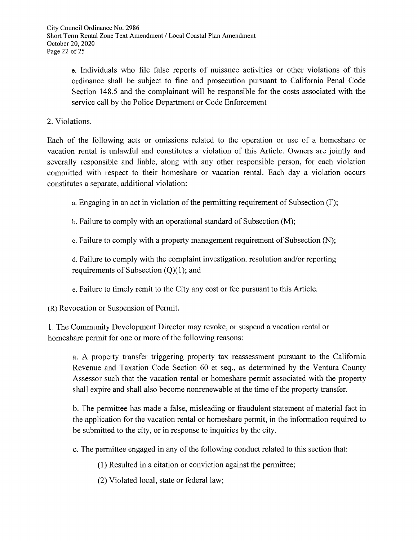e. Individuals who file false reports of nuisance activities or other violations of this ordinance shall be subject to fine and prosecution pursuant to California Penal Code Section 148.5 and the complainant will be responsible for the costs associated with the service call by the Police Department or Code Enforcement

2. Violations.

Each of the following acts or omissions related to the operation or use of a homeshare or vacation rental is unlawful and constitutes a violation of this Article. Owners are jointly and severally responsible and liable, along with any other responsible person, for each violation committed with respect to their homeshare or vacation rental. Each day a violation occurs constitutes a separate, additional violation:

a. Engaging in an act in violation of the permitting requirement of Subsection (F);

b. Failure to comply with an operational standard of Subsection (M);

c. Failure to comply with a property management requirement of Subsection (N);

d. Failure to comply with the complaint investigation, resolution and/or reporting requirements of Subsection  $(Q)(1)$ ; and

e. Failure to timely remit to the City any cost or fee pursuant to this Article.

(R) Revocation or Suspension of Permit.

1. The Community Development Director may revoke, or suspend a vacation rental or homeshare permit for one or more of the following reasons:

a. A property transfer triggering property tax reassessment pursuant to the California Revenue and Taxation Code Section 60 et seq., as determined by the Ventura County Assessor such that the vacation rental or homeshare permit associated with the property shall expire and shall also become nonrenewable at the time of the property transfer.

b. The permittee has made a false, misleading or fraudulent statement of material fact in the application for the vacation rental or homeshare permit, in the information required to be submitted to the city, or in response to inquiries by the city.

c. The permittee engaged in any of the following conduct related to this section that:

(1) Resulted in a citation or conviction against the permittee;

(2) Violated local, state or federal law;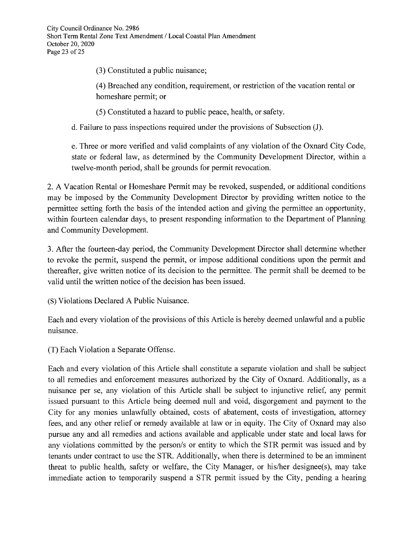(3) Constituted a public nuisance;

(4) Breached any condition, requirement, or restriction of the vacation rental or homeshare permit; or

(5) Constituted a hazard to public peace, health, or safety.

d. Failure to pass inspections required under the provisions of Subsection (J).

e. Three or more verified and valid complaints of any violation of the Oxnard City Code, state or federal law, as determined by the Community Development Director, within a twelve-month period, shall be grounds for permit revocation.

2. A Vacation Rental or Homeshare Permit may be revoked, suspended, or additional conditions may be imposed by the Community Development Director by providing written notice to the permittee setting forth the basis of the intended action and giving the permittee an opportunity, within fourteen calendar days, to present responding information to the Department of Planning and Community Development.

3. After the fourteen-day period, the Community Development Director shall determine whether to revoke the permit, suspend the permit, or impose additional conditions upon the permit and thereafter, give written notice of its decision to the permittee. The permit shall be deemed to be valid until the written notice of the decision has been issued.

(S) Violations Declared A Public Nuisance.

Each and every violation of the provisions of this Article is hereby deemed unlawful and a public nuisance.

(T) Each Violation a Separate Offense.

Each and every violation of this Article shall constitute a separate violation and shall be subject to all remedies and enforcement measures authorized by the City of Oxnard. Additionally, as a nuisance per se, any violation of this Article shall be subject to injunctive relief, any permit issued pursuant to this Article being deemed null and void, disgorgement and payment to the City for any monies unlawfully obtained, costs of abatement, costs of investigation, attorney fees, and any other relief or remedy available at law or in equity. The City of Oxnard may also pursue any and all remedies and actions available and applicable under state and local laws for any violations committed by the person/s or entity to which the STR permit was issued and by tenants under contract to use the STR. Additionally, when there is determined to be an imminent threat to public health, safety or welfare, the City Manager, or his/her designee(s), may take immediate action to temporarily suspend a STR permit issued by the City, pending a hearing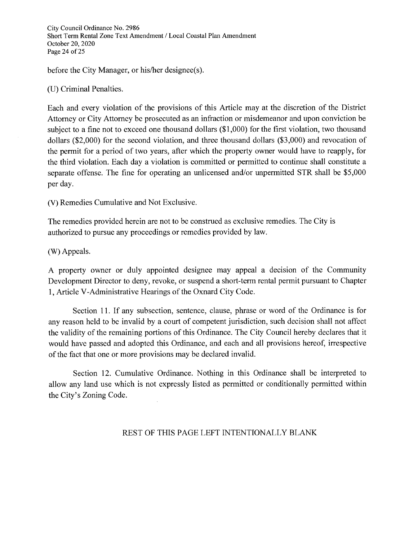City Council Ordinance No. 2986 Short Term Rental Zone Text Amendment / Local Coastal Plan Amendment October 20, 2020 Page 24 of 25

before the City Manager, or his/her designee(s).

(U) Criminal Penalties.

Each and every violation of the provisions of this Article may at the discretion of the District Attorney or City Attorney be prosecuted as an infraction or misdemeanor and upon conviction be subject to a fine not to exceed one thousand dollars (\$1,000) for the first violation, two thousand dollars (\$2,000) for the second violation, and three thousand dollars (\$3,000) and revocation of the permit for a period of two years, after which the property owner would have to reapply, for the third violation. Each day a violation is committed or permitted to continue shall constitute a separate offense. The fine for operating an unlicensed and/or unpermitted STR shall be \$5,000 per day.

(V) Remedies Cumulative and Not Exclusive.

The remedies provided herein are not to be construed as exclusive remedies. The City is authorized to pursue any proceedings or remedies provided by law.

(W) Appeals.

A property owner or duly appointed designee may appeal a decision of the Community Development Director to deny, revoke, or suspend a short-term rental permit pursuant to Chapter 1, Article V-Administrative Hearings of the Oxnard City Code.

Section 11. If any subsection, sentence, clause, phrase or word of the Ordinance is for any reason held to be invalid by a court of competent jurisdiction, such decision shall not affect the validity of the remaining portions of this Ordinance. The City Council hereby declares that it would have passed and adopted this Ordinance, and each and all provisions hereof, irrespective of the fact that one or more provisions may be declared invalid.

Section 12. Cumulative Ordinance. Nothing in this Ordinance shall be interpreted to allow any land use which is not expressly listed as permitted or conditionally permitted within the City's Zoning Code.

## REST OF THIS PAGE LEFT INTENTIONALLY BLANK